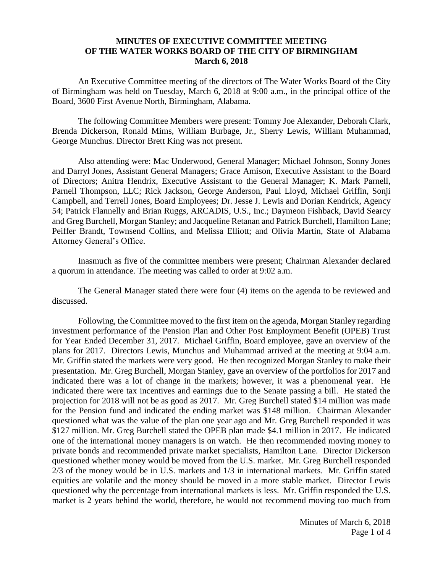## **MINUTES OF EXECUTIVE COMMITTEE MEETING OF THE WATER WORKS BOARD OF THE CITY OF BIRMINGHAM March 6, 2018**

An Executive Committee meeting of the directors of The Water Works Board of the City of Birmingham was held on Tuesday, March 6, 2018 at 9:00 a.m., in the principal office of the Board, 3600 First Avenue North, Birmingham, Alabama.

The following Committee Members were present: Tommy Joe Alexander, Deborah Clark, Brenda Dickerson, Ronald Mims, William Burbage, Jr., Sherry Lewis, William Muhammad, George Munchus. Director Brett King was not present.

Also attending were: Mac Underwood, General Manager; Michael Johnson, Sonny Jones and Darryl Jones, Assistant General Managers; Grace Amison, Executive Assistant to the Board of Directors; Anitra Hendrix, Executive Assistant to the General Manager; K. Mark Parnell, Parnell Thompson, LLC; Rick Jackson, George Anderson, Paul Lloyd, Michael Griffin, Sonji Campbell, and Terrell Jones, Board Employees; Dr. Jesse J. Lewis and Dorian Kendrick, Agency 54; Patrick Flannelly and Brian Ruggs, ARCADIS, U.S., Inc.; Daymeon Fishback, David Searcy and Greg Burchell, Morgan Stanley; and Jacqueline Retanan and Patrick Burchell, Hamilton Lane; Peiffer Brandt, Townsend Collins, and Melissa Elliott; and Olivia Martin, State of Alabama Attorney General's Office.

Inasmuch as five of the committee members were present; Chairman Alexander declared a quorum in attendance. The meeting was called to order at 9:02 a.m.

The General Manager stated there were four (4) items on the agenda to be reviewed and discussed.

Following, the Committee moved to the first item on the agenda, Morgan Stanley regarding investment performance of the Pension Plan and Other Post Employment Benefit (OPEB) Trust for Year Ended December 31, 2017. Michael Griffin, Board employee, gave an overview of the plans for 2017. Directors Lewis, Munchus and Muhammad arrived at the meeting at 9:04 a.m. Mr. Griffin stated the markets were very good. He then recognized Morgan Stanley to make their presentation. Mr. Greg Burchell, Morgan Stanley, gave an overview of the portfolios for 2017 and indicated there was a lot of change in the markets; however, it was a phenomenal year. He indicated there were tax incentives and earnings due to the Senate passing a bill. He stated the projection for 2018 will not be as good as 2017. Mr. Greg Burchell stated \$14 million was made for the Pension fund and indicated the ending market was \$148 million. Chairman Alexander questioned what was the value of the plan one year ago and Mr. Greg Burchell responded it was \$127 million. Mr. Greg Burchell stated the OPEB plan made \$4.1 million in 2017. He indicated one of the international money managers is on watch. He then recommended moving money to private bonds and recommended private market specialists, Hamilton Lane. Director Dickerson questioned whether money would be moved from the U.S. market. Mr. Greg Burchell responded 2/3 of the money would be in U.S. markets and 1/3 in international markets. Mr. Griffin stated equities are volatile and the money should be moved in a more stable market. Director Lewis questioned why the percentage from international markets is less. Mr. Griffin responded the U.S. market is 2 years behind the world, therefore, he would not recommend moving too much from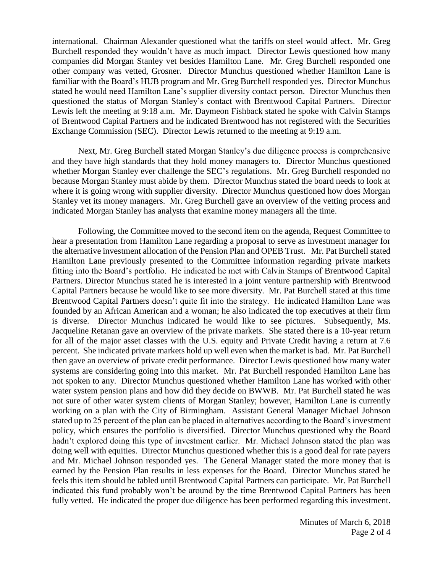international. Chairman Alexander questioned what the tariffs on steel would affect. Mr. Greg Burchell responded they wouldn't have as much impact. Director Lewis questioned how many companies did Morgan Stanley vet besides Hamilton Lane. Mr. Greg Burchell responded one other company was vetted, Grosner. Director Munchus questioned whether Hamilton Lane is familiar with the Board's HUB program and Mr. Greg Burchell responded yes. Director Munchus stated he would need Hamilton Lane's supplier diversity contact person. Director Munchus then questioned the status of Morgan Stanley's contact with Brentwood Capital Partners. Director Lewis left the meeting at 9:18 a.m. Mr. Daymeon Fishback stated he spoke with Calvin Stamps of Brentwood Capital Partners and he indicated Brentwood has not registered with the Securities Exchange Commission (SEC). Director Lewis returned to the meeting at 9:19 a.m.

Next, Mr. Greg Burchell stated Morgan Stanley's due diligence process is comprehensive and they have high standards that they hold money managers to. Director Munchus questioned whether Morgan Stanley ever challenge the SEC's regulations. Mr. Greg Burchell responded no because Morgan Stanley must abide by them. Director Munchus stated the board needs to look at where it is going wrong with supplier diversity. Director Munchus questioned how does Morgan Stanley vet its money managers. Mr. Greg Burchell gave an overview of the vetting process and indicated Morgan Stanley has analysts that examine money managers all the time.

Following, the Committee moved to the second item on the agenda, Request Committee to hear a presentation from Hamilton Lane regarding a proposal to serve as investment manager for the alternative investment allocation of the Pension Plan and OPEB Trust. Mr. Pat Burchell stated Hamilton Lane previously presented to the Committee information regarding private markets fitting into the Board's portfolio. He indicated he met with Calvin Stamps of Brentwood Capital Partners. Director Munchus stated he is interested in a joint venture partnership with Brentwood Capital Partners because he would like to see more diversity. Mr. Pat Burchell stated at this time Brentwood Capital Partners doesn't quite fit into the strategy. He indicated Hamilton Lane was founded by an African American and a woman; he also indicated the top executives at their firm is diverse. Director Munchus indicated he would like to see pictures. Subsequently, Ms. Jacqueline Retanan gave an overview of the private markets. She stated there is a 10-year return for all of the major asset classes with the U.S. equity and Private Credit having a return at 7.6 percent. She indicated private markets hold up well even when the market is bad. Mr. Pat Burchell then gave an overview of private credit performance. Director Lewis questioned how many water systems are considering going into this market. Mr. Pat Burchell responded Hamilton Lane has not spoken to any. Director Munchus questioned whether Hamilton Lane has worked with other water system pension plans and how did they decide on BWWB. Mr. Pat Burchell stated he was not sure of other water system clients of Morgan Stanley; however, Hamilton Lane is currently working on a plan with the City of Birmingham. Assistant General Manager Michael Johnson stated up to 25 percent of the plan can be placed in alternatives according to the Board's investment policy, which ensures the portfolio is diversified. Director Munchus questioned why the Board hadn't explored doing this type of investment earlier. Mr. Michael Johnson stated the plan was doing well with equities. Director Munchus questioned whether this is a good deal for rate payers and Mr. Michael Johnson responded yes. The General Manager stated the more money that is earned by the Pension Plan results in less expenses for the Board. Director Munchus stated he feels this item should be tabled until Brentwood Capital Partners can participate. Mr. Pat Burchell indicated this fund probably won't be around by the time Brentwood Capital Partners has been fully vetted. He indicated the proper due diligence has been performed regarding this investment.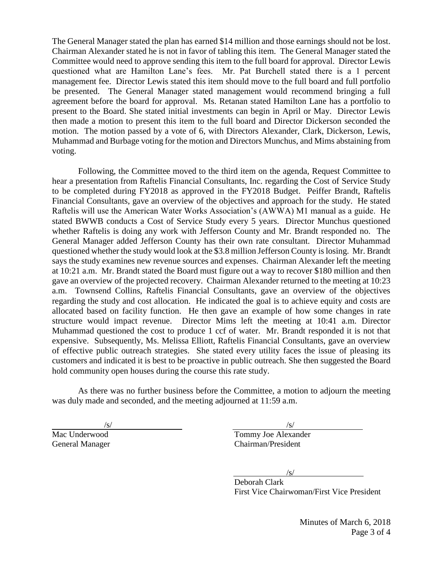The General Manager stated the plan has earned \$14 million and those earnings should not be lost. Chairman Alexander stated he is not in favor of tabling this item. The General Manager stated the Committee would need to approve sending this item to the full board for approval. Director Lewis questioned what are Hamilton Lane's fees. Mr. Pat Burchell stated there is a 1 percent management fee. Director Lewis stated this item should move to the full board and full portfolio be presented. The General Manager stated management would recommend bringing a full agreement before the board for approval. Ms. Retanan stated Hamilton Lane has a portfolio to present to the Board. She stated initial investments can begin in April or May. Director Lewis then made a motion to present this item to the full board and Director Dickerson seconded the motion. The motion passed by a vote of 6, with Directors Alexander, Clark, Dickerson, Lewis, Muhammad and Burbage voting for the motion and Directors Munchus, and Mims abstaining from voting.

Following, the Committee moved to the third item on the agenda, Request Committee to hear a presentation from Raftelis Financial Consultants, Inc. regarding the Cost of Service Study to be completed during FY2018 as approved in the FY2018 Budget. Peiffer Brandt, Raftelis Financial Consultants, gave an overview of the objectives and approach for the study. He stated Raftelis will use the American Water Works Association's (AWWA) M1 manual as a guide. He stated BWWB conducts a Cost of Service Study every 5 years. Director Munchus questioned whether Raftelis is doing any work with Jefferson County and Mr. Brandt responded no. The General Manager added Jefferson County has their own rate consultant. Director Muhammad questioned whether the study would look at the \$3.8 million Jefferson County is losing. Mr. Brandt says the study examines new revenue sources and expenses. Chairman Alexander left the meeting at 10:21 a.m. Mr. Brandt stated the Board must figure out a way to recover \$180 million and then gave an overview of the projected recovery. Chairman Alexander returned to the meeting at 10:23 a.m. Townsend Collins, Raftelis Financial Consultants, gave an overview of the objectives regarding the study and cost allocation. He indicated the goal is to achieve equity and costs are allocated based on facility function. He then gave an example of how some changes in rate structure would impact revenue. Director Mims left the meeting at 10:41 a.m. Director Muhammad questioned the cost to produce 1 ccf of water. Mr. Brandt responded it is not that expensive. Subsequently, Ms. Melissa Elliott, Raftelis Financial Consultants, gave an overview of effective public outreach strategies. She stated every utility faces the issue of pleasing its customers and indicated it is best to be proactive in public outreach. She then suggested the Board hold community open houses during the course this rate study.

As there was no further business before the Committee, a motion to adjourn the meeting was duly made and seconded, and the meeting adjourned at 11:59 a.m.

 $\sqrt{s}/\sqrt{s}$ Mac Underwood **Tommy Joe Alexander** General Manager Chairman/President

 $/s/$ 

Deborah Clark First Vice Chairwoman/First Vice President